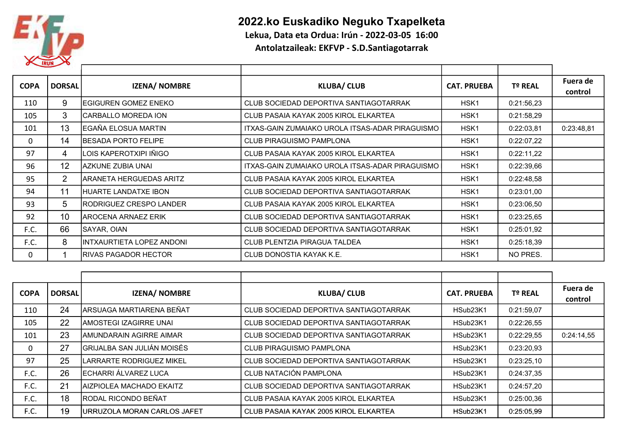

## 2022.ko Euskadiko Neguko Txapelketa

Lekua, Data eta Ordua: Irún - 2022-03-05 16:00

Antolatzaileak: EKFVP - S.D.Santiagotarrak

| <b>COPA</b>  | <b>DORSAL</b>   | <b>IZENA/ NOMBRE</b>       | <b>KLUBA/ CLUB</b>                              | <b>CAT. PRUEBA</b> | <b>Tº REAL</b> | Fuera de<br>control |
|--------------|-----------------|----------------------------|-------------------------------------------------|--------------------|----------------|---------------------|
| 110          | 9               | IEGIGUREN GOMEZ ENEKO      | CLUB SOCIEDAD DEPORTIVA SANTIAGOTARRAK          | HSK <sub>1</sub>   | 0:21:56,23     |                     |
| 105          | 3               | ICARBALLO MOREDA ION       | CLUB PASAIA KAYAK 2005 KIROL ELKARTEA           | HSK <sub>1</sub>   | 0:21:58,29     |                     |
| 101          | 13              | IEGAÑA ELOSUA MARTIN       | ITXAS-GAIN ZUMAIAKO UROLA ITSAS-ADAR PIRAGUISMO | HSK1               | 0:22:03,81     | 0:23:48,81          |
| $\mathbf{0}$ | 14              | <b>BESADA PORTO FELIPE</b> | <b>CLUB PIRAGUISMO PAMPLONA</b>                 | HSK1               | 0:22:07,22     |                     |
| 97           | 4               | LOIS KAPEROTXIPI IÑIGO     | CLUB PASAIA KAYAK 2005 KIROL ELKARTEA           | HSK1               | 0:22:11,22     |                     |
| 96           | 12 <sup>2</sup> | lazkune zubia unai         | ITXAS-GAIN ZUMAIAKO UROLA ITSAS-ADAR PIRAGUISMO | HSK1               | 0:22:39,66     |                     |
| 95           | 2               | IARANETA HERGUEDAS ARITZ   | CLUB PASAIA KAYAK 2005 KIROL ELKARTEA           | HSK1               | 0:22:48,58     |                     |
| 94           | 11              | HUARTE LANDATXE IBON       | CLUB SOCIEDAD DEPORTIVA SANTIAGOTARRAK          | HSK <sub>1</sub>   | 0:23:01,00     |                     |
| 93           | 5               | IRODRIGUEZ CRESPO LANDER   | CLUB PASAIA KAYAK 2005 KIROL ELKARTEA           | HSK <sub>1</sub>   | 0:23:06,50     |                     |
| 92           | 10              | IAROCENA ARNAEZ ERIK       | CLUB SOCIEDAD DEPORTIVA SANTIAGOTARRAK          | HSK <sub>1</sub>   | 0:23:25.65     |                     |
| F.C.         | 66              | SAYAR, OIAN                | CLUB SOCIEDAD DEPORTIVA SANTIAGOTARRAK          | HSK1               | 0:25:01,92     |                     |
| F.C.         | 8               | IINTXAURTIETA LOPEZ ANDONI | CLUB PLENTZIA PIRAGUA TALDEA                    | HSK1               | 0:25:18,39     |                     |
| 0            |                 | IRIVAS PAGADOR HECTOR      | CLUB DONOSTIA KAYAK K.E.                        | HSK1               | NO PRES.       |                     |

| <b>COPA</b> | <b>DORSAL</b> | <b>IZENA/ NOMBRE</b>                | <b>KLUBA/ CLUB</b>                     | <b>CAT. PRUEBA</b>   | Tº REAL    | Fuera de<br>control |
|-------------|---------------|-------------------------------------|----------------------------------------|----------------------|------------|---------------------|
| 110         | 24            | ARSUAGA MARTIARENA BEÑAT            | CLUB SOCIEDAD DEPORTIVA SANTIAGOTARRAK | HSub <sub>23K1</sub> | 0:21:59,07 |                     |
| 105         | 22            | <b>AMOSTEGI IZAGIRRE UNAI</b>       | CLUB SOCIEDAD DEPORTIVA SANTIAGOTARRAK | HSub <sub>23K1</sub> | 0:22:26,55 |                     |
| 101         | 23            | AMUNDARAIN AGIRRE AIMAR             | CLUB SOCIEDAD DEPORTIVA SANTIAGOTARRAK | HSub23K1             | 0:22:29,55 | 0:24:14,55          |
| 0           | 27            | GRIJALBA SAN JULIÁN MOISÉS          | <b>CLUB PIRAGUISMO PAMPLONA</b>        | HSub23K1             | 0:23:20,93 |                     |
| 97          | 25            | LARRARTE RODRIGUEZ MIKEL            | CLUB SOCIEDAD DEPORTIVA SANTIAGOTARRAK | HSub <sub>23K1</sub> | 0:23:25,10 |                     |
| F.C.        | 26            | ECHARRI ÁLVAREZ LUCA                | CLUB NATACIÓN PAMPLONA                 | HSub23K1             | 0:24:37,35 |                     |
| F.C.        | 21            | AIZPIOLEA MACHADO EKAITZ            | CLUB SOCIEDAD DEPORTIVA SANTIAGOTARRAK | HSub <sub>23K1</sub> | 0:24:57,20 |                     |
| F.C.        | 18            | <b>RODAL RICONDO BEÑAT</b>          | CLUB PASAIA KAYAK 2005 KIROL ELKARTEA  | HSub <sub>23K1</sub> | 0:25:00,36 |                     |
| F.C.        | 19            | <b>JURRUZOLA MORAN CARLOS JAFET</b> | CLUB PASAIA KAYAK 2005 KIROL ELKARTEA  | HSub23K1             | 0:25:05.99 |                     |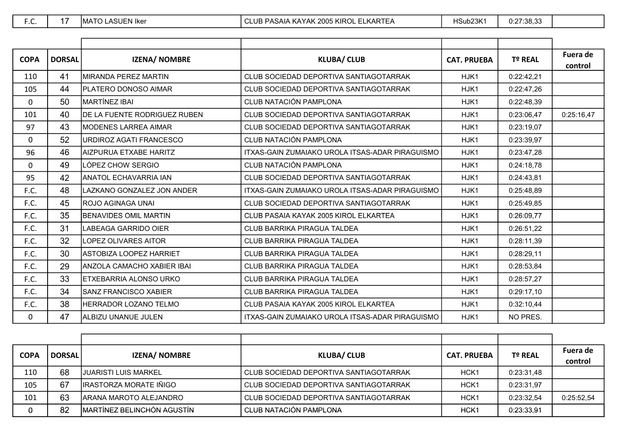| <b>COPA</b> | <b>DORSAL</b> | <b>IZENA/ NOMBRE</b>         | <b>KLUBA/ CLUB</b>                              | <b>CAT. PRUEBA</b> | <b>Tº REAL</b> | Fuera de<br>control |
|-------------|---------------|------------------------------|-------------------------------------------------|--------------------|----------------|---------------------|
| 110         | 41            | MIRANDA PEREZ MARTIN         | CLUB SOCIEDAD DEPORTIVA SANTIAGOTARRAK          | HJK1               | 0:22:42,21     |                     |
| 105         | 44            | PLATERO DONOSO AIMAR         | CLUB SOCIEDAD DEPORTIVA SANTIAGOTARRAK          | HJK1               | 0:22:47,26     |                     |
| 0           | 50            | MARTÍNEZ IBAI                | CLUB NATACIÓN PAMPLONA                          | HJK1               | 0:22:48,39     |                     |
| 101         | 40            | DE LA FUENTE RODRIGUEZ RUBEN | CLUB SOCIEDAD DEPORTIVA SANTIAGOTARRAK          | HJK1               | 0:23:06,47     | 0:25:16,47          |
| 97          | 43            | <b>MODENES LARREA AIMAR</b>  | CLUB SOCIEDAD DEPORTIVA SANTIAGOTARRAK          | HJK1               | 0:23:19,07     |                     |
| 0           | 52            | URDIROZ AGATI FRANCESCO      | CLUB NATACIÓN PAMPLONA                          | HJK1               | 0:23:39,97     |                     |
| 96          | 46            | AIZPURUA ETXABE HARITZ       | ITXAS-GAIN ZUMAIAKO UROLA ITSAS-ADAR PIRAGUISMO | HJK1               | 0:23:47,28     |                     |
| 0           | 49            | LÓPEZ CHOW SERGIO            | CLUB NATACIÓN PAMPLONA                          | HJK1               | 0:24:18,78     |                     |
| 95          | 42            | <b>ANATOL ECHAVARRIA IAN</b> | CLUB SOCIEDAD DEPORTIVA SANTIAGOTARRAK          | HJK1               | 0:24:43.81     |                     |
| F.C.        | 48            | LAZKANO GONZALEZ JON ANDER   | ITXAS-GAIN ZUMAIAKO UROLA ITSAS-ADAR PIRAGUISMO | HJK1               | 0:25:48.89     |                     |
| F.C.        | 45            | <b>ROJO AGINAGA UNAI</b>     | CLUB SOCIEDAD DEPORTIVA SANTIAGOTARRAK          | HJK1               | 0:25:49,85     |                     |
| F.C.        | 35            | <b>BENAVIDES OMIL MARTIN</b> | CLUB PASAIA KAYAK 2005 KIROL ELKARTEA           | HJK1               | 0:26:09,77     |                     |
| F.C.        | 31            | LABEAGA GARRIDO OIER         | <b>CLUB BARRIKA PIRAGUA TALDEA</b>              | HJK1               | 0:26:51,22     |                     |
| F.C.        | 32            | <b>LOPEZ OLIVARES AITOR</b>  | CLUB BARRIKA PIRAGUA TALDEA                     | HJK1               | 0:28:11,39     |                     |
| F.C.        | 30            | ASTOBIZA LOOPEZ HARRIET      | CLUB BARRIKA PIRAGUA TALDEA                     | HJK1               | 0:28:29,11     |                     |
| F.C.        | 29            | ANZOLA CAMACHO XABIER IBAI   | CLUB BARRIKA PIRAGUA TALDEA                     | HJK1               | 0:28:53,84     |                     |
| F.C.        | 33            | ETXEBARRIA ALONSO URKO       | CLUB BARRIKA PIRAGUA TALDEA                     | HJK1               | 0:28:57,27     |                     |
| F.C.        | 34            | SANZ FRANCISCO XABIER        | CLUB BARRIKA PIRAGUA TALDEA                     | HJK1               | 0:29:17,10     |                     |
| F.C.        | 38            | <b>HERRADOR LOZANO TELMO</b> | CLUB PASAIA KAYAK 2005 KIROL ELKARTEA           | HJK1               | 0:32:10,44     |                     |
| 0           | 47            | ALBIZU UNANUE JULEN          | ITXAS-GAIN ZUMAIAKO UROLA ITSAS-ADAR PIRAGUISMO | HJK1               | NO PRES.       |                     |

| <b>COPA</b> | <b>DORSAL</b> | <b>IZENA/ NOMBRE</b>               | <b>KLUBA/ CLUB</b>                     | <b>CAT. PRUEBA</b> | <b>Tº REAL</b> | Fuera de<br>control |
|-------------|---------------|------------------------------------|----------------------------------------|--------------------|----------------|---------------------|
| 110         | 68            | IJUARISTI LUIS MARKEL              | CLUB SOCIEDAD DEPORTIVA SANTIAGOTARRAK | HCK <sub>1</sub>   | 0:23:31.48     |                     |
| 105         | 67            | IIRASTORZA MORATE IÑIGO            | CLUB SOCIEDAD DEPORTIVA SANTIAGOTARRAK | HCK <sub>1</sub>   | 0:23:31.97     |                     |
| 101         | 63            | ARANA MAROTO ALEJANDRO             | CLUB SOCIEDAD DEPORTIVA SANTIAGOTARRAK | HCK <sub>1</sub>   | 0:23:32,54     | 0:25:52,54          |
| 0           | 82            | <b>IMARTÍNEZ BELINCHÓN AGUSTÍN</b> | <b>CLUB NATACIÓN PAMPLONA</b>          | HCK <sub>1</sub>   | 0:23:33.91     |                     |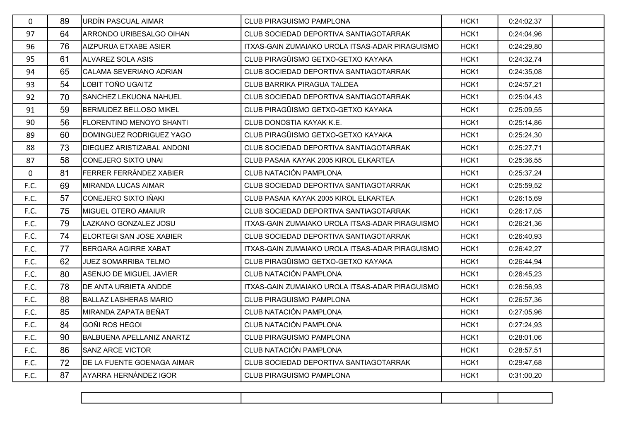| $\mathbf{0}$ | 89 | URDÍN PASCUAL AIMAR               | CLUB PIRAGUISMO PAMPLONA                        | HCK <sub>1</sub> | 0:24:02,37 |  |
|--------------|----|-----------------------------------|-------------------------------------------------|------------------|------------|--|
| 97           | 64 | <b>ARRONDO URIBESALGO OIHAN</b>   | CLUB SOCIEDAD DEPORTIVA SANTIAGOTARRAK          | HCK1             | 0:24:04,96 |  |
| 96           | 76 | AIZPURUA ETXABE ASIER             | ITXAS-GAIN ZUMAIAKO UROLA ITSAS-ADAR PIRAGUISMO | HCK1             | 0:24:29,80 |  |
| 95           | 61 | ALVAREZ SOLA ASIS                 | CLUB PIRAGÜISMO GETXO-GETXO KAYAKA              | HCK1             | 0:24:32,74 |  |
| 94           | 65 | CALAMA SEVERIANO ADRIAN           | CLUB SOCIEDAD DEPORTIVA SANTIAGOTARRAK          | HCK1             | 0:24:35,08 |  |
| 93           | 54 | LOBIT TOÑO UGAITZ                 | CLUB BARRIKA PIRAGUA TALDEA                     | HCK1             | 0:24:57,21 |  |
| 92           | 70 | <b>SANCHEZ LEKUONA NAHUEL</b>     | CLUB SOCIEDAD DEPORTIVA SANTIAGOTARRAK          | HCK1             | 0:25:04,43 |  |
| 91           | 59 | <b>BERMUDEZ BELLOSO MIKEL</b>     | CLUB PIRAGÜISMO GETXO-GETXO KAYAKA              | HCK1             | 0:25:09,55 |  |
| 90           | 56 | <b>FLORENTINO MENOYO SHANTI</b>   | CLUB DONOSTIA KAYAK K.E.                        | HCK1             | 0:25:14,86 |  |
| 89           | 60 | DOMINGUEZ RODRIGUEZ YAGO          | CLUB PIRAGÜISMO GETXO-GETXO KAYAKA              | HCK1             | 0:25:24,30 |  |
| 88           | 73 | <b>DIEGUEZ ARISTIZABAL ANDONI</b> | CLUB SOCIEDAD DEPORTIVA SANTIAGOTARRAK          | HCK1             | 0:25:27,71 |  |
| 87           | 58 | CONEJERO SIXTO UNAI               | CLUB PASAIA KAYAK 2005 KIROL ELKARTEA           | HCK1             | 0:25:36,55 |  |
| $\mathbf 0$  | 81 | FERRER FERRÁNDEZ XABIER           | CLUB NATACIÓN PAMPLONA                          | HCK1             | 0:25:37,24 |  |
| F.C.         | 69 | MIRANDA LUCAS AIMAR               | CLUB SOCIEDAD DEPORTIVA SANTIAGOTARRAK          | HCK1             | 0:25:59,52 |  |
| F.C.         | 57 | CONEJERO SIXTO IÑAKI              | CLUB PASAIA KAYAK 2005 KIROL ELKARTEA           | HCK1             | 0:26:15,69 |  |
| F.C.         | 75 | MIGUEL OTERO AMAIUR               | CLUB SOCIEDAD DEPORTIVA SANTIAGOTARRAK          | HCK1             | 0:26:17,05 |  |
| F.C.         | 79 | ILAZKANO GONZALEZ JOSU            | ITXAS-GAIN ZUMAIAKO UROLA ITSAS-ADAR PIRAGUISMO | HCK <sub>1</sub> | 0:26:21,36 |  |
| F.C.         | 74 | <b>ELORTEGI SAN JOSE XABIER</b>   | CLUB SOCIEDAD DEPORTIVA SANTIAGOTARRAK          | HCK1             | 0:26:40,93 |  |
| F.C.         | 77 | <b>BERGARA AGIRRE XABAT</b>       | ITXAS-GAIN ZUMAIAKO UROLA ITSAS-ADAR PIRAGUISMO | HCK1             | 0:26:42,27 |  |
| F.C.         | 62 | <b>JUEZ SOMARRIBA TELMO</b>       | CLUB PIRAGÜISMO GETXO-GETXO KAYAKA              | HCK1             | 0:26:44,94 |  |
| F.C.         | 80 | ASENJO DE MIGUEL JAVIER           | CLUB NATACIÓN PAMPLONA                          | HCK1             | 0:26:45,23 |  |
| F.C.         | 78 | <b>DE ANTA URBIETA ANDDE</b>      | ITXAS-GAIN ZUMAIAKO UROLA ITSAS-ADAR PIRAGUISMO | HCK1             | 0:26:56,93 |  |
| F.C.         | 88 | <b>BALLAZ LASHERAS MARIO</b>      | <b>CLUB PIRAGUISMO PAMPLONA</b>                 | HCK1             | 0:26:57,36 |  |
| F.C.         | 85 | MIRANDA ZAPATA BEÑAT              | CLUB NATACIÓN PAMPLONA                          | HCK1             | 0:27:05,96 |  |
| F.C.         | 84 | GOÑI ROS HEGOI                    | CLUB NATACIÓN PAMPLONA                          | HCK1             | 0:27:24,93 |  |
| F.C.         | 90 | <b>BALBUENA APELLANIZ ANARTZ</b>  | CLUB PIRAGUISMO PAMPLONA                        | HCK1             | 0:28:01,06 |  |
| F.C.         | 86 | <b>SANZ ARCE VICTOR</b>           | CLUB NATACIÓN PAMPLONA                          | HCK <sub>1</sub> | 0:28:57,51 |  |
| F.C.         | 72 | DE LA FUENTE GOENAGA AIMAR        | CLUB SOCIEDAD DEPORTIVA SANTIAGOTARRAK          | HCK1             | 0:29:47,68 |  |
| F.C.         | 87 | AYARRA HERNÁNDEZ IGOR             | <b>CLUB PIRAGUISMO PAMPLONA</b>                 | HCK1             | 0:31:00,20 |  |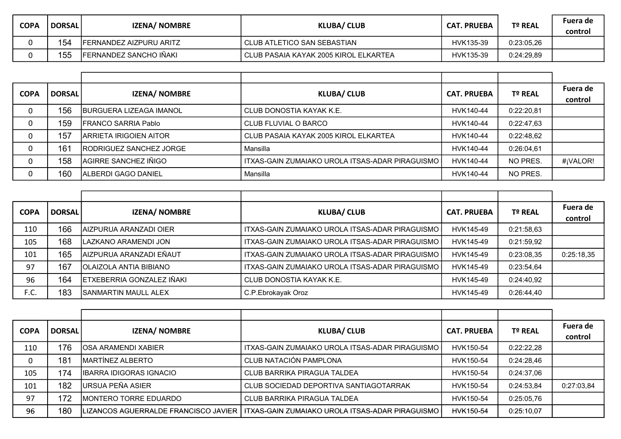| <b>COPA</b> | <b>DORSAL</b> | <b>IZENA/ NOMBRE</b>           | <b>KLUBA/ CLUB</b>                    | <b>CAT. PRUEBA</b> | Tº REAL    | Fuera de<br>control |
|-------------|---------------|--------------------------------|---------------------------------------|--------------------|------------|---------------------|
|             | 154           | <b>FERNANDEZ AIZPURU ARITZ</b> | CLUB ATLETICO SAN SEBASTIAN           | HVK135-39          | 0:23:05,26 |                     |
|             | 155           | FERNANDEZ SANCHO IÑAKI         | CLUB PASAIA KAYAK 2005 KIROL ELKARTEA | HVK135-39          | 0:24:29,89 |                     |

| <b>COPA</b> | <b>DORSAL</b> | <b>IZENA/ NOMBRE</b>          | <b>KLUBA/ CLUB</b>                                 | <b>CAT. PRUEBA</b> | Tº REAL    | Fuera de<br>control |
|-------------|---------------|-------------------------------|----------------------------------------------------|--------------------|------------|---------------------|
| 0           | 156           | IBURGUERA LIZEAGA IMANOL      | CLUB DONOSTIA KAYAK K.E.                           | HVK140-44          | 0:22:20,81 |                     |
| 0           | 159           | IFRANCO SARRIA Pablo          | CLUB FLUVIAL O BARCO                               | HVK140-44          | 0:22:47.63 |                     |
| 0           | 157           | <b>ARRIETA IRIGOIEN AITOR</b> | CLUB PASAIA KAYAK 2005 KIROL ELKARTEA              | HVK140-44          | 0:22:48,62 |                     |
| 0           | 161           | RODRIGUEZ SANCHEZ JORGE       | Mansilla                                           | HVK140-44          | 0:26:04.61 |                     |
| 0           | 158           | AGIRRE SANCHEZ IÑIGO          | I ITXAS-GAIN ZUMAIAKO UROLA ITSAS-ADAR PIRAGUISMO. | HVK140-44          | NO PRES.   | #¡VALOR!            |
| C           | 160           | ALBERDI GAGO DANIEL           | Mansilla                                           | HVK140-44          | NO PRES.   |                     |

| <b>COPA</b> | <b>DORSAL</b> | <b>IZENA/ NOMBRE</b>        | <b>KLUBA/ CLUB</b>                              | <b>CAT. PRUEBA</b> | Tº REAL    | Fuera de<br>control |
|-------------|---------------|-----------------------------|-------------------------------------------------|--------------------|------------|---------------------|
| 110         | 166           | AIZPURUA ARANZADI OIER      | ITXAS-GAIN ZUMAIAKO UROLA ITSAS-ADAR PIRAGUISMO | HVK145-49          | 0:21:58,63 |                     |
| 105         | 168           | LAZKANO ARAMENDI JON        | ITXAS-GAIN ZUMAIAKO UROLA ITSAS-ADAR PIRAGUISMO | HVK145-49          | 0:21:59,92 |                     |
| 101         | 165           | AIZPURUA ARANZADI EÑAUT     | ITXAS-GAIN ZUMAIAKO UROLA ITSAS-ADAR PIRAGUISMO | HVK145-49          | 0:23:08.35 | 0:25:18,35          |
| 97          | 167           | OLAIZOLA ANTIA BIBIANO      | ITXAS-GAIN ZUMAIAKO UROLA ITSAS-ADAR PIRAGUISMO | HVK145-49          | 0:23:54,64 |                     |
| 96          | 164           | ETXEBERRIA GONZALEZ IÑAKI   | CLUB DONOSTIA KAYAK K.E.                        | HVK145-49          | 0:24:40.92 |                     |
| F.C.        | 183           | <b>SANMARTIN MAULL ALEX</b> | C.P.Ebrokayak Oroz                              | HVK145-49          | 0:26:44,40 |                     |

| <b>COPA</b> | <b>DORSAL</b> | <b>IZENA/ NOMBRE</b>                    | <b>KLUBA/ CLUB</b>                                  | <b>CAT. PRUEBA</b> | <b>Tº REAL</b> | Fuera de<br>control |
|-------------|---------------|-----------------------------------------|-----------------------------------------------------|--------------------|----------------|---------------------|
| 110         | 176           | IOSA ARAMENDI XABIER                    | ITXAS-GAIN ZUMAIAKO UROLA ITSAS-ADAR PIRAGUISMO     | HVK150-54          | 0:22:22,28     |                     |
|             | 181           | MARTÍNEZ ALBERTO                        | CLUB NATACIÓN PAMPLONA                              | HVK150-54          | 0:24:28,46     |                     |
| 105         | 174           | <b>IBARRA IDIGORAS IGNACIO</b>          | CLUB BARRIKA PIRAGUA TALDEA                         | HVK150-54          | 0:24:37,06     |                     |
| 101         | 182           | URSUA PEÑA ASIER                        | CLUB SOCIEDAD DEPORTIVA SANTIAGOTARRAK              | HVK150-54          | 0:24:53,84     | 0:27:03,84          |
| 97          | 172           | <b>MONTERO TORRE EDUARDO</b>            | CLUB BARRIKA PIRAGUA TALDEA                         | HVK150-54          | 0:25:05,76     |                     |
| 96          | 180           | ILIZANCOS AGUERRALDE FRANCISCO JAVIER I | I ITXAS-GAIN ZUMAIAKO UROLA ITSAS-ADAR PIRAGUISMO I | HVK150-54          | 0:25:10.07     |                     |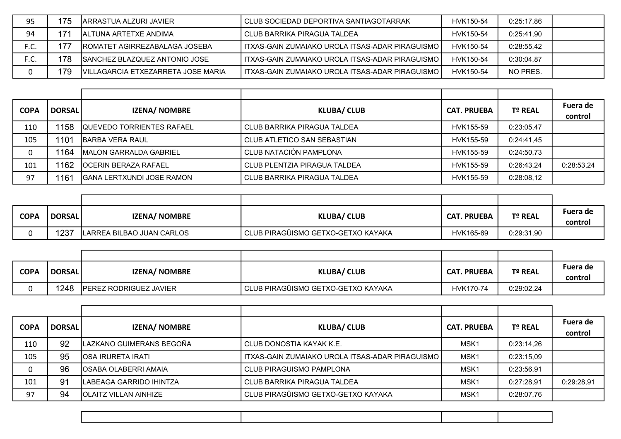| 95   | 175 | IARRASTUA ALZURI JAVIER             | CLUB SOCIEDAD DEPORTIVA SANTIAGOTARRAK              | HVK150-54 | 0:25:17.86 |  |
|------|-----|-------------------------------------|-----------------------------------------------------|-----------|------------|--|
| 94   | 171 | IALTUNA ARTETXE ANDIMA              | CLUB BARRIKA PIRAGUA TALDEA                         | HVK150-54 | 0:25:41.90 |  |
| F.C. | 177 | ROMATET AGIRREZABALAGA JOSEBA       | I ITXAS-GAIN ZUMAIAKO UROLA ITSAS-ADAR PIRAGUISMO . | HVK150-54 | 0:28:55.42 |  |
| 「.U. | 178 | SANCHEZ BLAZQUEZ ANTONIO JOSE       | I ITXAS-GAIN ZUMAIAKO UROLA ITSAS-ADAR PIRAGUISMO . | HVK150-54 | 0:30:04.87 |  |
|      | 179 | IVILLAGARCIA ETXEZARRETA JOSE MARIA | I ITXAS-GAIN ZUMAIAKO UROLA ITSAS-ADAR PIRAGUISMO . | HVK150-54 | NO PRES.   |  |

| <b>COPA</b> | <b>DORSAL</b> | <b>IZENA/ NOMBRE</b>             | <b>KLUBA/ CLUB</b>           | <b>CAT. PRUEBA</b> | T <sup>o</sup> REAL | Fuera de<br>control |
|-------------|---------------|----------------------------------|------------------------------|--------------------|---------------------|---------------------|
| 110         | 1158          | <b>QUEVEDO TORRIENTES RAFAEL</b> | CLUB BARRIKA PIRAGUA TALDEA  | HVK155-59          | 0:23:05,47          |                     |
| 105         | 1101          | <b>IBARBA VERA RAUL</b>          | CLUB ATLETICO SAN SEBASTIAN  | HVK155-59          | 0:24:41.45          |                     |
| 0           | 1164          | MALON GARRALDA GABRIEL           | CLUB NATACIÓN PAMPLONA       | HVK155-59          | 0:24:50.73          |                     |
| 101         | 1162          | <b>IOCERIN BERAZA RAFAEL</b>     | CLUB PLENTZIA PIRAGUA TALDEA | HVK155-59          | 0:26:43.24          | 0:28:53,24          |
| 97          | 1161          | <b>GANA LERTXUNDI JOSE RAMON</b> | CLUB BARRIKA PIRAGUA TALDEA  | HVK155-59          | 0:28:08,12          |                     |

| <b>COPA</b> | <b>DORSAL</b> | <b>IZENA/ NOMBRE</b>      | <b>KLUBA/ CLUB</b>                   | <b>CAT. PRUEBA</b> | Tº REAL    | Fuera de<br>control |
|-------------|---------------|---------------------------|--------------------------------------|--------------------|------------|---------------------|
|             | 237           | LARREA BILBAO JUAN CARLOS | I CLUB PIRAGÜISMO GETXO-GETXO KAYAKA | HVK165-69          | 0:29:31,90 |                     |

| <b>COPA</b> | <b>DORSAL</b> | <b>IZENA/ NOMBRE</b>          | <b>KLUBA/ CLUB</b>                 | <b>CAT. PRUEBA</b> | Tº REAL    | Fuera de<br>control |
|-------------|---------------|-------------------------------|------------------------------------|--------------------|------------|---------------------|
|             | 248           | <b>PEREZ RODRIGUEZ JAVIER</b> | CLUB PIRAGÜISMO GETXO-GETXO KAYAKA | HVK170-74          | 0:29:02,24 |                     |

| <b>COPA</b> | <b>DORSAL</b> | <b>IZENA/ NOMBRE</b>        | <b>KLUBA/ CLUB</b>                              | <b>CAT. PRUEBA</b> | <b>Tº REAL</b> | Fuera de<br>control |
|-------------|---------------|-----------------------------|-------------------------------------------------|--------------------|----------------|---------------------|
| 110         | 92            | LAZKANO GUIMERANS BEGOÑA    | CLUB DONOSTIA KAYAK K.E.                        | MSK <sub>1</sub>   | 0:23:14.26     |                     |
| 105         | 95            | <b>IOSA IRURETA IRATI</b>   | ITXAS-GAIN ZUMAIAKO UROLA ITSAS-ADAR PIRAGUISMO | MSK <sub>1</sub>   | 0:23:15.09     |                     |
|             | 96            | <b>OSABA OLABERRI AMAIA</b> | CLUB PIRAGUISMO PAMPLONA                        | MSK <sub>1</sub>   | 0:23:56,91     |                     |
| 101         | 91            | ILABEAGA GARRIDO IHINTZA    | CLUB BARRIKA PIRAGUA TALDEA                     | MSK <sub>1</sub>   | 0:27:28.91     | 0:29:28,91          |
| 97          | 94            | IOLAITZ VILLAN AINHIZE      | CLUB PIRAGÜISMO GETXO-GETXO KAYAKA              | MSK <sub>1</sub>   | 0:28:07,76     |                     |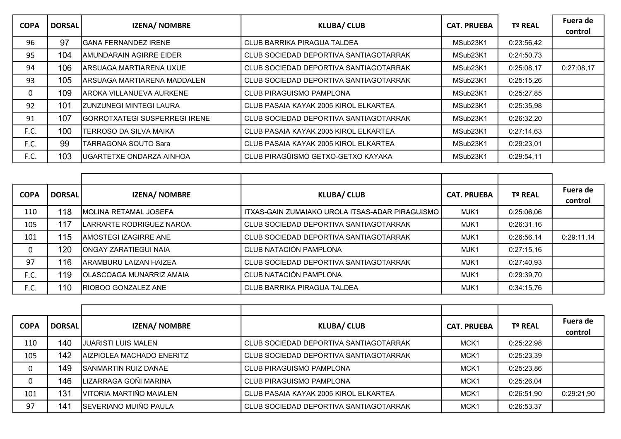| <b>COPA</b> | <b>DORSAL</b> | <b>IZENA/ NOMBRE</b>                 | <b>KLUBA/ CLUB</b>                     | <b>CAT. PRUEBA</b> | Tº REAL    | Fuera de<br>control |
|-------------|---------------|--------------------------------------|----------------------------------------|--------------------|------------|---------------------|
| 96          | 97            | <b>GANA FERNANDEZ IRENE</b>          | CLUB BARRIKA PIRAGUA TALDEA            | MSub23K1           | 0:23:56,42 |                     |
| 95          | 104           | AMUNDARAIN AGIRRE EIDER              | CLUB SOCIEDAD DEPORTIVA SANTIAGOTARRAK | MSub23K1           | 0:24:50,73 |                     |
| 94          | 106           | ARSUAGA MARTIARENA UXUE              | CLUB SOCIEDAD DEPORTIVA SANTIAGOTARRAK | MSub23K1           | 0:25:08,17 | 0:27:08,17          |
| 93          | 105           | ARSUAGA MARTIARENA MADDALEN          | CLUB SOCIEDAD DEPORTIVA SANTIAGOTARRAK | MSub23K1           | 0:25:15,26 |                     |
| 0           | 109           | AROKA VILLANUEVA AURKENE             | <b>CLUB PIRAGUISMO PAMPLONA</b>        | MSub23K1           | 0:25:27,85 |                     |
| 92          | 101           | <b>ZUNZUNEGI MINTEGI LAURA</b>       | CLUB PASAIA KAYAK 2005 KIROL ELKARTEA  | MSub23K1           | 0:25:35,98 |                     |
| 91          | 107           | <b>GORROTXATEGI SUSPERREGI IRENE</b> | CLUB SOCIEDAD DEPORTIVA SANTIAGOTARRAK | MSub23K1           | 0:26:32,20 |                     |
| F.C.        | 100           | TERROSO DA SILVA MAIKA               | CLUB PASAIA KAYAK 2005 KIROL ELKARTEA  | MSub23K1           | 0:27:14,63 |                     |
| F.C.        | 99            | <b>TARRAGONA SOUTO Sara</b>          | CLUB PASAIA KAYAK 2005 KIROL ELKARTEA  | MSub23K1           | 0:29:23,01 |                     |
| F.C.        | 103           | UGARTETXE ONDARZA AINHOA             | CLUB PIRAGÜISMO GETXO-GETXO KAYAKA     | MSub23K1           | 0:29:54,11 |                     |

| <b>COPA</b> | <b>DORSAL</b> | <b>IZENA/ NOMBRE</b>         | <b>KLUBA/ CLUB</b>                              | <b>CAT. PRUEBA</b> | <b>Tº REAL</b> | Fuera de<br>control |
|-------------|---------------|------------------------------|-------------------------------------------------|--------------------|----------------|---------------------|
| 110         | 118           | MOLINA RETAMAL JOSEFA        | ITXAS-GAIN ZUMAIAKO UROLA ITSAS-ADAR PIRAGUISMO | MJK1               | 0:25:06,06     |                     |
| 105         | 117           | LARRARTE RODRIGUEZ NAROA     | CLUB SOCIEDAD DEPORTIVA SANTIAGOTARRAK          | MJK1               | 0:26:31,16     |                     |
| 101         | 115           | IAMOSTEGI IZAGIRRE ANE       | CLUB SOCIEDAD DEPORTIVA SANTIAGOTARRAK          | MJK1               | 0:26:56,14     | 0:29:11,14          |
| 0           | 120           | <b>ONGAY ZARATIEGUI NAIA</b> | CLUB NATACIÓN PAMPLONA                          | MJK1               | 0:27:15,16     |                     |
| 97          | 116           | IARAMBURU LAIZAN HAIZEA      | CLUB SOCIEDAD DEPORTIVA SANTIAGOTARRAK          | MJK1               | 0:27:40.93     |                     |
| F.C.        | 119           | OLASCOAGA MUNARRIZ AMAIA     | CLUB NATACIÓN PAMPLONA                          | MJK1               | 0:29:39,70     |                     |
| F.C.        | 110           | RIOBOO GONZALEZ ANE          | CLUB BARRIKA PIRAGUA TALDEA                     | MJK1               | 0:34:15,76     |                     |

| <b>COPA</b> | <b>DORSAL</b> | <b>IZENA/ NOMBRE</b>        | <b>KLUBA/ CLUB</b>                     | <b>CAT. PRUEBA</b> | <b>Tº REAL</b> | Fuera de<br>control |
|-------------|---------------|-----------------------------|----------------------------------------|--------------------|----------------|---------------------|
| 110         | 140           | IJUARISTI LUIS MALEN        | CLUB SOCIEDAD DEPORTIVA SANTIAGOTARRAK | MCK <sub>1</sub>   | 0:25:22,98     |                     |
| 105         | 142           | AIZPIOLEA MACHADO ENERITZ   | CLUB SOCIEDAD DEPORTIVA SANTIAGOTARRAK | MCK <sub>1</sub>   | 0:25:23,39     |                     |
| 0           | 149           | <b>SANMARTIN RUIZ DANAE</b> | CLUB PIRAGUISMO PAMPLONA               | MCK <sub>1</sub>   | 0:25:23,86     |                     |
| 0           | 146           | LIZARRAGA GOÑI MARINA       | <b>CLUB PIRAGUISMO PAMPLONA</b>        | MCK <sub>1</sub>   | 0:25:26,04     |                     |
| 101         | 131           | IVITORIA MARTIÑO MAIALEN    | CLUB PASAIA KAYAK 2005 KIROL ELKARTEA  | MCK <sub>1</sub>   | 0:26:51,90     | 0:29:21,90          |
| 97          | 141           | SEVERIANO MUIÑO PAULA       | CLUB SOCIEDAD DEPORTIVA SANTIAGOTARRAK | MCK <sub>1</sub>   | 0:26:53,37     |                     |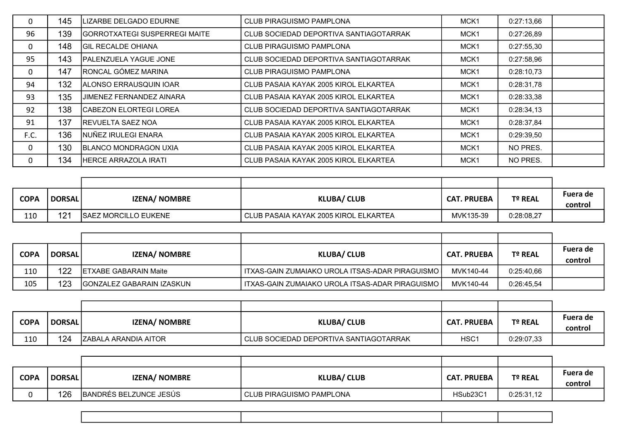| 0    | 145 | LIZARBE DELGADO EDURNE               | CLUB PIRAGUISMO PAMPLONA               | MCK <sub>1</sub> | 0:27:13,66 |  |
|------|-----|--------------------------------------|----------------------------------------|------------------|------------|--|
| 96   | 139 | <b>GORROTXATEGI SUSPERREGI MAITE</b> | CLUB SOCIEDAD DEPORTIVA SANTIAGOTARRAK | MCK <sub>1</sub> | 0:27:26,89 |  |
| 0    | 148 | <b>IGIL RECALDE OHIANA</b>           | <b>CLUB PIRAGUISMO PAMPLONA</b>        | MCK <sub>1</sub> | 0:27:55,30 |  |
| 95   | 143 | <b>PALENZUELA YAGUE JONE</b>         | CLUB SOCIEDAD DEPORTIVA SANTIAGOTARRAK | MCK <sub>1</sub> | 0:27:58,96 |  |
| 0    | 147 | RONCAL GÓMEZ MARINA                  | <b>CLUB PIRAGUISMO PAMPLONA</b>        | MCK <sub>1</sub> | 0:28:10,73 |  |
| 94   | 132 | ALONSO ERRAUSQUIN IOAR               | CLUB PASAIA KAYAK 2005 KIROL ELKARTEA  | MCK <sub>1</sub> | 0:28:31,78 |  |
| 93   | 135 | <b>JIMENEZ FERNANDEZ AINARA</b>      | CLUB PASAIA KAYAK 2005 KIROL ELKARTEA  | MCK <sub>1</sub> | 0:28:33,38 |  |
| 92   | 138 | <b>CABEZON ELORTEGI LOREA</b>        | CLUB SOCIEDAD DEPORTIVA SANTIAGOTARRAK | MCK <sub>1</sub> | 0:28:34,13 |  |
| 91   | 137 | <b>REVUELTA SAEZ NOA</b>             | CLUB PASAIA KAYAK 2005 KIROL ELKARTEA  | MCK <sub>1</sub> | 0:28:37,84 |  |
| F.C. | 136 | INUÑEZ IRULEGI ENARA                 | CLUB PASAIA KAYAK 2005 KIROL ELKARTEA  | MCK <sub>1</sub> | 0:29:39,50 |  |
| 0    | 130 | <b>BLANCO MONDRAGON UXIA</b>         | CLUB PASAIA KAYAK 2005 KIROL ELKARTEA  | MCK <sub>1</sub> | NO PRES.   |  |
| 0    | 134 | <b>HERCE ARRAZOLA IRATI</b>          | CLUB PASAIA KAYAK 2005 KIROL ELKARTEA  | MCK <sub>1</sub> | NO PRES.   |  |

| <b>COPA</b> | DORSAL         | <b>IZENA/ NOMBRE</b>        | <b>KLUBA/ CLUB</b>                    | <b>CAT. PRUEBA</b> | Tº REAL    | Fuera de<br>control |
|-------------|----------------|-----------------------------|---------------------------------------|--------------------|------------|---------------------|
| 110         | 12 $^{\prime}$ | <b>SAEZ MORCILLO EUKENE</b> | CLUB PASAIA KAYAK 2005 KIROL ELKARTEA | MVK135-39          | 0:28:08,27 |                     |

| <b>COPA</b> | <b>DORSAL</b> | IZENA/ NOMBRE                 | <b>KLUBA/ CLUB</b>                                  | <b>CAT. PRUEBA</b> | <b>Tº REAL</b> | Fuera de |
|-------------|---------------|-------------------------------|-----------------------------------------------------|--------------------|----------------|----------|
|             |               |                               |                                                     |                    |                | control  |
| 110         | 122           | <b>IETXABE GABARAIN Maite</b> | I ITXAS-GAIN ZUMAIAKO UROLA ITSAS-ADAR PIRAGUISMO I | MVK140-44          | 0:25:40,66     |          |
| 105         | 123           | GONZALEZ GABARAIN IZASKUN     | I ITXAS-GAIN ZUMAIAKO UROLA ITSAS-ADAR PIRAGUISMO I | MVK140-44          | 0:26:45,54     |          |

| <b>COPA</b> | <b>DORSAL</b> | <b>IZENA/ NOMBRE</b>         | <b>KLUBA/ CLUB</b>                     | <b>CAT. PRUEBA</b> | Tº REAL    | Fuera de<br>control |
|-------------|---------------|------------------------------|----------------------------------------|--------------------|------------|---------------------|
| 110         | 124           | <b>IZABALA ARANDIA AITOR</b> | CLUB SOCIEDAD DEPORTIVA SANTIAGOTARRAK | HSC <sub>1</sub>   | 0:29:07,33 |                     |

| <b>COPA</b> | <b>DORSAL</b> | <b>IZENA/ NOMBRE</b>   | <b>KLUBA/ CLUB</b>         | <b>CAT. PRUEBA</b>   | Tº REAL    | Fuera de<br>control |
|-------------|---------------|------------------------|----------------------------|----------------------|------------|---------------------|
|             | 126           | BANDRÉS BELZUNCE JESÚS | l CLUB PIRAGUISMO PAMPLONA | HSub23C <sup>1</sup> | 0:25:31,12 |                     |